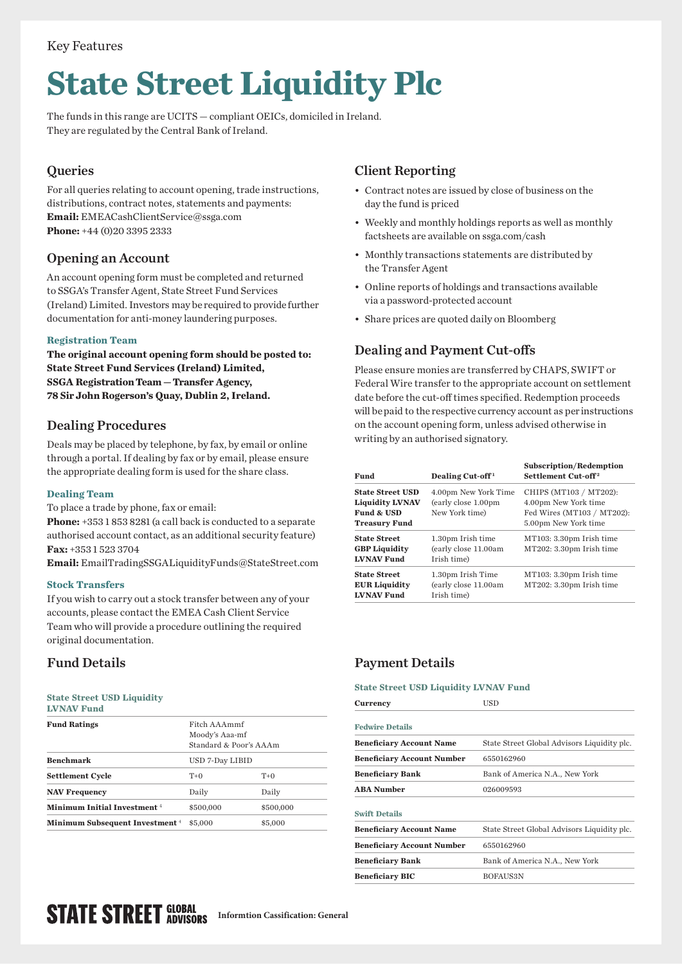## Key Features

# **State Street Liquidity Plc**

The funds in this range are UCITS — compliant OEICs, domiciled in Ireland. They are regulated by the Central Bank of Ireland.

# **Queries**

For all queries relating to account opening, trade instructions, distributions, contract notes, statements and payments: **Email:** [EMEACashClientService@ssga.com](mailto:EMEACashClientService%40ssga.com?subject=) **Phone:** +44 (0)20 3395 2333

# Opening an Account

An account opening form must be completed and returned to SSGA's Transfer Agent, State Street Fund Services (Ireland) Limited. Investors may be required to provide further documentation for anti-money laundering purposes.

## **Registration Team**

**The original account opening form should be posted to: State Street Fund Services (Ireland) Limited, SSGA Registration Team — Transfer Agency, 78 Sir John Rogerson's Quay, Dublin 2, Ireland.**

# Dealing Procedures

Deals may be placed by telephone, by fax, by email or online through a portal. If dealing by fax or by email, please ensure the appropriate dealing form is used for the share class.

## **Dealing Team**

To place a trade by phone, fax or email:

**Phone:** +353 1 853 8281 (a call back is conducted to a separate authorised account contact, as an additional security feature) **Fax:** +353 1 523 3704

**Email:** [EmailTradingSSGALiquidityFunds@StateStreet.com](mailto:EmailTradingSSGALiquidityFunds%40StateStreet.com?subject=)

## **Stock Transfers**

If you wish to carry out a stock transfer between any of your accounts, please contact the EMEA Cash Client Service Team who will provide a procedure outlining the required original documentation.

## **State Street USD Liquidity**

|--|--|

| <b>Fund Ratings</b>                        | Fitch AAAmmf<br>Moody's Aaa-mf<br>Standard & Poor's AAAm |           |
|--------------------------------------------|----------------------------------------------------------|-----------|
| <b>Benchmark</b>                           | USD 7-Day LIBID                                          |           |
| <b>Settlement Cycle</b>                    | $T+0$                                                    | $T+0$     |
| <b>NAV Frequency</b>                       | Daily                                                    | Daily     |
| Minimum Initial Investment <sup>4</sup>    | \$500,000                                                | \$500,000 |
| Minimum Subsequent Investment <sup>4</sup> | \$5,000                                                  | \$5,000   |
|                                            |                                                          |           |

# Client Reporting

- Contract notes are issued by close of business on the day the fund is priced
- Weekly and monthly holdings reports as well as monthly factsheets are available on [ssga.com/cash](http://ssga.com/cash)
- Monthly transactions statements are distributed by the Transfer Agent
- Online reports of holdings and transactions available via a password-protected account
- Share prices are quoted daily on Bloomberg

# Dealing and Payment Cut-offs

Please ensure monies are transferred by CHAPS, SWIFT or Federal Wire transfer to the appropriate account on settlement date before the cut-off times specified. Redemption proceeds will be paid to the respective currency account as per instructions on the account opening form, unless advised otherwise in writing by an authorised signatory.

| Fund                                                                                    | Dealing Cut-off <sup>1</sup>                                   | <b>Subscription/Redemption</b><br>Settlement Cut-off <sup>2</sup>                                    |
|-----------------------------------------------------------------------------------------|----------------------------------------------------------------|------------------------------------------------------------------------------------------------------|
| <b>State Street USD</b><br><b>Liquidity LVNAV</b><br>Fund & USD<br><b>Treasury Fund</b> | 4.00pm New York Time<br>(early close 1.00pm)<br>New York time) | CHIPS (MT103 / MT202):<br>4.00pm New York time<br>Fed Wires (MT103 / MT202):<br>5.00pm New York time |
| <b>State Street</b><br><b>GBP Liquidity</b><br><b>LVNAV Fund</b>                        | 1.30pm Irish time<br>(early close 11.00am<br>Irish time)       | MT103: 3.30pm Irish time<br>MT202: 3.30pm Irish time                                                 |
| <b>State Street</b><br><b>EUR Liquidity</b><br><b>LVNAV Fund</b>                        | 1.30pm Irish Time<br>(early close 11.00am<br>Irish time)       | MT103: 3.30pm Irish time<br>MT202: 3.30pm Irish time                                                 |

# Fund Details Payment Details

#### **State Street USD Liquidity LVNAV Fund**

| <b>Currency</b>                   | USD                                         |
|-----------------------------------|---------------------------------------------|
| <b>Fedwire Details</b>            |                                             |
| <b>Beneficiary Account Name</b>   | State Street Global Advisors Liquidity plc. |
| <b>Beneficiary Account Number</b> | 6550162960                                  |
| <b>Beneficiary Bank</b>           | Bank of America N.A., New York              |
| <b>ABA Number</b>                 | 026009593                                   |
| <b>Swift Details</b>              |                                             |
| <b>Beneficiary Account Name</b>   | State Street Global Advisors Liquidity plc. |
| <b>Beneficiary Account Number</b> | 6550162960                                  |
| Beneficiary Bank                  | Bank of America N.A., New York              |
| <b>Beneficiary BIC</b>            | <b>BOFAUS3N</b>                             |
|                                   |                                             |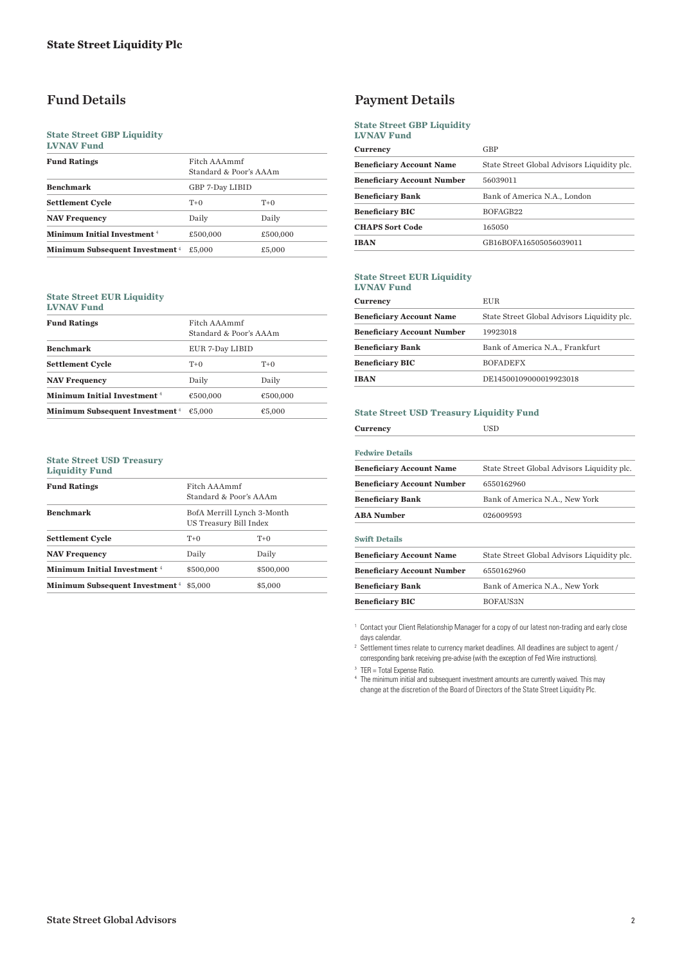#### **State Street GBP Liquidity LVNAV Fund**

| итим гипч                                         |                                        |          |
|---------------------------------------------------|----------------------------------------|----------|
| <b>Fund Ratings</b>                               | Fitch AAAmmf<br>Standard & Poor's AAAm |          |
| <b>Benchmark</b>                                  | GBP 7-Day LIBID                        |          |
| <b>Settlement Cycle</b>                           | $T+0$                                  | $T+0$    |
| <b>NAV Frequency</b>                              | Daily                                  | Daily    |
| Minimum Initial Investment <sup>4</sup>           | £500,000                               | £500,000 |
| <b>Minimum Subsequent Investment</b> <sup>4</sup> | £5,000                                 | £5,000   |

#### **State Street EUR Liquidity LVNAV Fund**

| <b>Fund Ratings</b>                               | Fitch AAAmmf<br>Standard & Poor's AAAm |          |
|---------------------------------------------------|----------------------------------------|----------|
| <b>Benchmark</b>                                  | EUR 7-Day LIBID                        |          |
| <b>Settlement Cycle</b>                           | $T+0$                                  | $T+0$    |
| <b>NAV Frequency</b>                              | Daily                                  | Daily    |
| Minimum Initial Investment <sup>4</sup>           | €500,000                               | €500,000 |
| <b>Minimum Subsequent Investment</b> <sup>4</sup> | €5.000                                 | €5,000   |
|                                                   |                                        |          |

#### **State Street USD Treasury Liquidity Fund**

| <b>Fund Ratings</b>                            | Fitch AAAmmf<br>Standard & Poor's AAAm<br>BofA Merrill Lynch 3-Month<br>US Treasury Bill Index |           |
|------------------------------------------------|------------------------------------------------------------------------------------------------|-----------|
| <b>Benchmark</b>                               |                                                                                                |           |
| <b>Settlement Cycle</b>                        | $T+0$                                                                                          | $T+0$     |
| <b>NAV Frequency</b>                           | Daily                                                                                          | Daily     |
| Minimum Initial Investment <sup>4</sup>        | \$500,000                                                                                      | \$500,000 |
| <b>Minimum Subsequent Investment</b> 4 \$5,000 |                                                                                                | \$5,000   |

# Fund Details Payment Details

#### **State Street GBP Liquidity LVNAV Fund**

| <b>Currency</b>                   | GBP                                         |
|-----------------------------------|---------------------------------------------|
| <b>Beneficiary Account Name</b>   | State Street Global Advisors Liquidity plc. |
| <b>Beneficiary Account Number</b> | 56039011                                    |
| <b>Beneficiary Bank</b>           | Bank of America N.A., London                |
| <b>Beneficiary BIC</b>            | BOFAGB22                                    |
| <b>CHAPS Sort Code</b>            | 165050                                      |
| <b>IBAN</b>                       | GB16BOFA16505056039011                      |

#### **State Street EUR Liquidity**

**LVNAV Fund**

| <b>Currency</b>                   | EUR.                                        |
|-----------------------------------|---------------------------------------------|
| <b>Beneficiary Account Name</b>   | State Street Global Advisors Liquidity plc. |
| <b>Beneficiary Account Number</b> | 19923018                                    |
| <b>Beneficiary Bank</b>           | Bank of America N.A., Frankfurt             |
| <b>Beneficiary BIC</b>            | <b>BOFADEFX</b>                             |
| <b>IBAN</b>                       | DE14500109000019923018                      |

#### **State Street USD Treasury Liquidity Fund**

| <b>Fedwire Details</b>            |                                             |
|-----------------------------------|---------------------------------------------|
| <b>Beneficiary Account Name</b>   | State Street Global Advisors Liquidity plc. |
| <b>Beneficiary Account Number</b> | 6550162960                                  |
| <b>Beneficiary Bank</b>           | Bank of America N.A., New York              |
| <b>ABA Number</b>                 | 026009593                                   |
| <b>Swift Details</b>              |                                             |
| <b>Beneficiary Account Name</b>   | State Street Global Advisors Liquidity plc. |
| <b>Beneficiary Account Number</b> | 6550162960                                  |
| <b>Beneficiary Bank</b>           | Bank of America N.A., New York              |
| <b>Beneficiary BIC</b>            | BOFAUS3N                                    |

<sup>1</sup> Contact your Client Relationship Manager for a copy of our latest non-trading and early close days calendar.

<sup>2</sup> Settlement times relate to currency market deadlines. All deadlines are subject to agent / corresponding bank receiving pre-advise (with the exception of Fed Wire instructions).

<sup>3</sup> TER = Total Expense Ratio.

4 The minimum initial and subsequent investment amounts are currently waived. This may change at the discretion of the Board of Directors of the State Street Liquidity Plc.